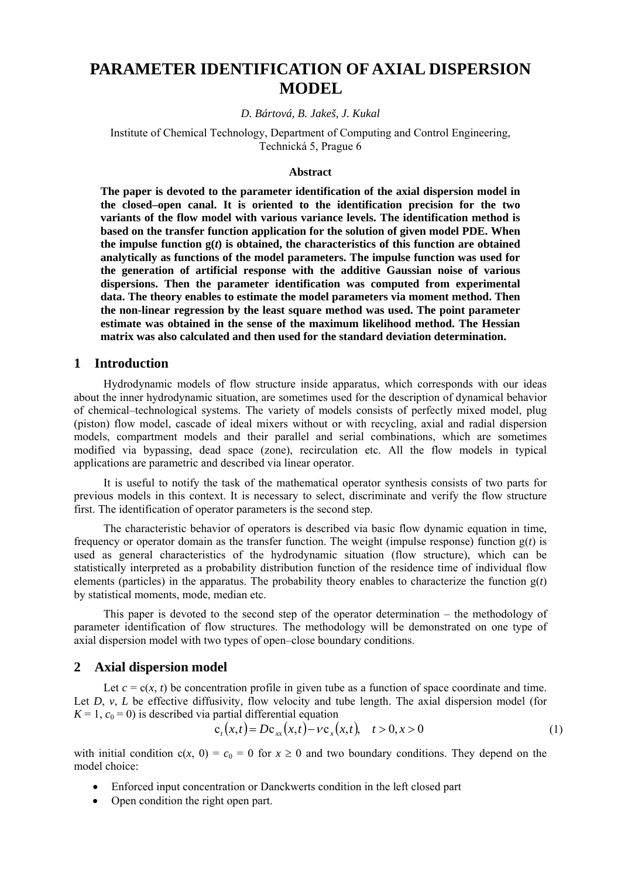# **PARAMETER IDENTIFICATION OF AXIAL DISPERSION MODEL**

#### *D. Bártová, B. Jakeš, J. Kukal*

Institute of Chemical Technology, Department of Computing and Control Engineering, Technická 5, Prague 6

#### **Abstract**

**The paper is devoted to the parameter identification of the axial dispersion model in the closed–open canal. It is oriented to the identification precision for the two variants of the flow model with various variance levels. The identification method is based on the transfer function application for the solution of given model PDE. When**  the impulse function  $g(t)$  is obtained, the characteristics of this function are obtained **analytically as functions of the model parameters. The impulse function was used for the generation of artificial response with the additive Gaussian noise of various dispersions. Then the parameter identification was computed from experimental data. The theory enables to estimate the model parameters via moment method. Then the non-linear regression by the least square method was used. The point parameter estimate was obtained in the sense of the maximum likelihood method. The Hessian matrix was also calculated and then used for the standard deviation determination.** 

#### **1 Introduction**

Hydrodynamic models of flow structure inside apparatus, which corresponds with our ideas about the inner hydrodynamic situation, are sometimes used for the description of dynamical behavior of chemical–technological systems. The variety of models consists of perfectly mixed model, plug (piston) flow model, cascade of ideal mixers without or with recycling, axial and radial dispersion models, compartment models and their parallel and serial combinations, which are sometimes modified via bypassing, dead space (zone), recirculation etc. All the flow models in typical applications are parametric and described via linear operator.

It is useful to notify the task of the mathematical operator synthesis consists of two parts for previous models in this context. It is necessary to select, discriminate and verify the flow structure first. The identification of operator parameters is the second step.

The characteristic behavior of operators is described via basic flow dynamic equation in time, frequency or operator domain as the transfer function. The weight (impulse response) function g(*t*) is used as general characteristics of the hydrodynamic situation (flow structure), which can be statistically interpreted as a probability distribution function of the residence time of individual flow elements (particles) in the apparatus. The probability theory enables to characterize the function g(*t*) by statistical moments, mode, median etc.

This paper is devoted to the second step of the operator determination – the methodology of parameter identification of flow structures. The methodology will be demonstrated on one type of axial dispersion model with two types of open–close boundary conditions.

#### **2 Axial dispersion model**

Let  $c = c(x, t)$  be concentration profile in given tube as a function of space coordinate and time. Let *D*, *v*, *L* be effective diffusivity, flow velocity and tube length. The axial dispersion model (for  $K = 1$ ,  $c_0 = 0$ ) is described via partial differential equation

$$
c_{t}(x,t) = Dc_{xx}(x,t) - \nu c_{x}(x,t), \quad t > 0, x > 0
$$
 (1)

with initial condition  $c(x, 0) = c_0 = 0$  for  $x \ge 0$  and two boundary conditions. They depend on the model choice:

- Enforced input concentration or Danckwerts condition in the left closed part
- Open condition the right open part.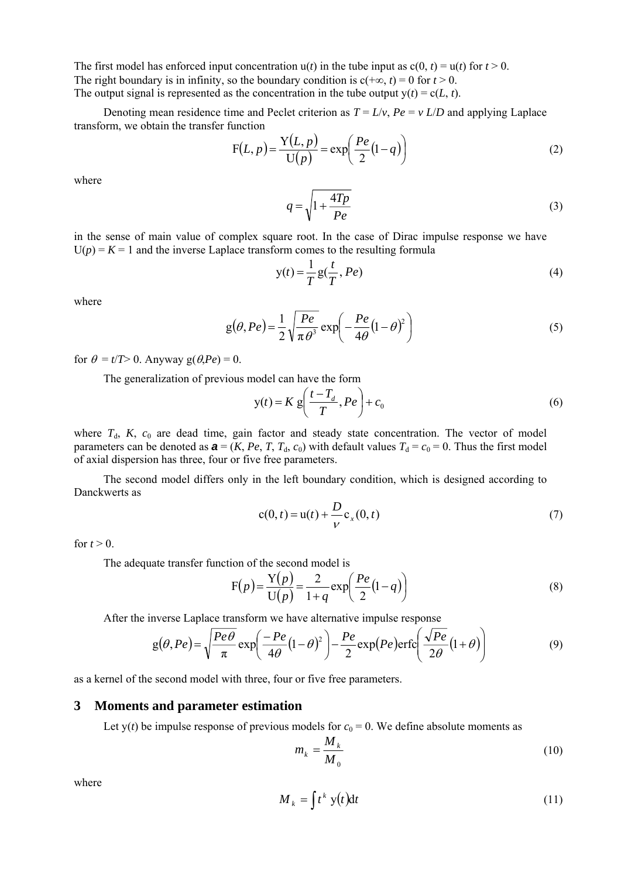The first model has enforced input concentration  $u(t)$  in the tube input as  $c(0, t) = u(t)$  for  $t > 0$ . The right boundary is in infinity, so the boundary condition is  $c(+\infty, t) = 0$  for  $t > 0$ . The output signal is represented as the concentration in the tube output  $y(t) = c(L, t)$ .

Denoting mean residence time and Peclet criterion as  $T = L/v$ ,  $Pe = v L/D$  and applying Laplace transform, we obtain the transfer function

$$
F(L, p) = \frac{Y(L, p)}{U(p)} = \exp\left(\frac{Pe}{2}(1-q)\right)
$$
\n(2)

where

$$
q = \sqrt{1 + \frac{4Tp}{Pe}}\tag{3}
$$

in the sense of main value of complex square root. In the case of Dirac impulse response we have  $U(p) = K = 1$  and the inverse Laplace transform comes to the resulting formula

$$
y(t) = \frac{1}{T} g(\frac{t}{T}, Pe)
$$
\n<sup>(4)</sup>

where

$$
g(\theta, Pe) = \frac{1}{2} \sqrt{\frac{Pe}{\pi \theta^3}} \exp\left(-\frac{Pe}{4\theta} (1 - \theta)^2\right)
$$
 (5)

for  $\theta = t/T > 0$ . Anyway g( $\theta$ ,*Pe*) = 0.

The generalization of previous model can have the form

$$
y(t) = K g\left(\frac{t - T_d}{T}, Pe\right) + c_0\tag{6}
$$

where  $T<sub>d</sub>$ ,  $K$ ,  $c<sub>0</sub>$  are dead time, gain factor and steady state concentration. The vector of model parameters can be denoted as  $\mathbf{a} = (K, Pe, T, T_d, c_0)$  with default values  $T_d = c_0 = 0$ . Thus the first model of axial dispersion has three, four or five free parameters.

The second model differs only in the left boundary condition, which is designed according to Danckwerts as

$$
c(0, t) = u(t) + \frac{D}{V}c_x(0, t)
$$
 (7)

for  $t > 0$ .

The adequate transfer function of the second model is

$$
F(p) = \frac{Y(p)}{U(p)} = \frac{2}{1+q} \exp\left(\frac{Pe}{2}(1-q)\right)
$$
 (8)

After the inverse Laplace transform we have alternative impulse response

$$
g(\theta, Pe) = \sqrt{\frac{Pe\theta}{\pi}} \exp\left(\frac{-Pe}{4\theta}(1-\theta)^2\right) - \frac{Pe}{2} \exp(Pe)\text{erfc}\left(\frac{\sqrt{Pe}}{2\theta}(1+\theta)\right)
$$
(9)

as a kernel of the second model with three, four or five free parameters.

### **3 Moments and parameter estimation**

Let  $y(t)$  be impulse response of previous models for  $c_0 = 0$ . We define absolute moments as

$$
m_k = \frac{M_k}{M_0} \tag{10}
$$

where

$$
M_k = \int t^k y(t) dt
$$
 (11)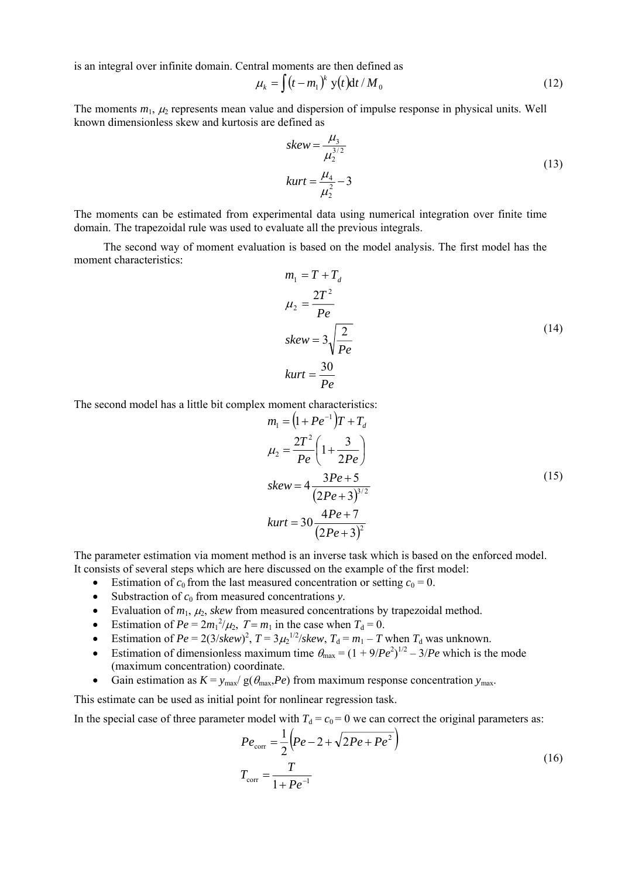is an integral over infinite domain. Central moments are then defined as

$$
\mu_k = \int (t - m_1)^k y(t) dt / M_0 \qquad (12)
$$

The moments  $m_1$ ,  $\mu_2$  represents mean value and dispersion of impulse response in physical units. Well known dimensionless skew and kurtosis are defined as

$$
skew = \frac{\mu_3}{\mu_2^{3/2}}
$$
  
\n
$$
kurt = \frac{\mu_4}{\mu_2^2} - 3
$$
\n(13)

The moments can be estimated from experimental data using numerical integration over finite time domain. The trapezoidal rule was used to evaluate all the previous integrals.

The second way of moment evaluation is based on the model analysis. The first model has the moment characteristics:

$$
m_1 = T + T_d
$$
  
\n
$$
\mu_2 = \frac{2T^2}{Pe}
$$
  
\nskew =  $3\sqrt{\frac{2}{Pe}}$   
\n
$$
kurt = \frac{30}{Pe}
$$
 (14)

The second model has a little bit complex moment characteristics:

$$
m_1 = (1 + Pe^{-1})T + T_d
$$
  
\n
$$
\mu_2 = \frac{2T^2}{Pe} \left( 1 + \frac{3}{2Pe} \right)
$$
  
\nskew =  $4 \frac{3Pe + 5}{(2Pe + 3)^{3/2}}$   
\n
$$
kurt = 30 \frac{4Pe + 7}{(2Pe + 3)^2}
$$
 (15)

The parameter estimation via moment method is an inverse task which is based on the enforced model. It consists of several steps which are here discussed on the example of the first model:

- Estimation of  $c_0$  from the last measured concentration or setting  $c_0 = 0$ .
- Substraction of  $c_0$  from measured concentrations *y*.
- Evaluation of  $m_1$ ,  $\mu_2$ , *skew* from measured concentrations by trapezoidal method.
- Estimation of  $Pe = 2m_1^2/\mu_2$ ,  $T = m_1$  in the case when  $T_d = 0$ .
- Estimation of  $Pe = 2(3/\text{skew})^2$ ,  $T = 3\mu_2^{1/2}/\text{skew}$ ,  $T_d = m_1 T$  when  $T_d$  was unknown.
- Estimation of dimensionless maximum time  $\theta_{\text{max}} = (1 + 9/P_e^2)^{1/2} 3/P_e$  which is the mode (maximum concentration) coordinate.
- Gain estimation as  $K = y_{\text{max}}/g(\theta_{\text{max}}P_e)$  from maximum response concentration  $y_{\text{max}}$ .

This estimate can be used as initial point for nonlinear regression task.

In the special case of three parameter model with  $T_d = c_0 = 0$  we can correct the original parameters as:

$$
Pe_{\text{corr}} = \frac{1}{2} \left( Pe - 2 + \sqrt{2Pe + Pe^2} \right)
$$
  

$$
T_{\text{corr}} = \frac{T}{1 + Pe^{-1}}
$$
 (16)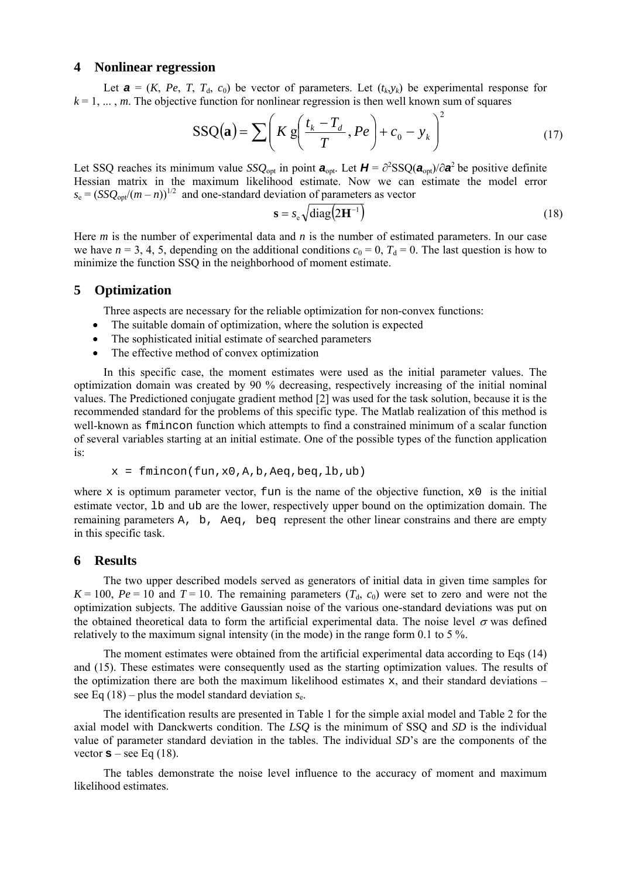## **4 Nonlinear regression**

Let  $\mathbf{a} = (K, Pe, T, T_d, c_0)$  be vector of parameters. Let  $(t_k, y_k)$  be experimental response for  $k = 1, \ldots, m$ . The objective function for nonlinear regression is then well known sum of squares

$$
SSQ(\mathbf{a}) = \sum \left( K \, g\left(\frac{t_k - T_d}{T}, Pe\right) + c_0 - y_k \right)^2 \tag{17}
$$

Let SSQ reaches its minimum value *SSQ*<sub>opt</sub> in point  $a_{opt}$ . Let  $H = \partial^2 SSQ(a_{opt})/\partial a^2$  be positive definite Hessian matrix in the maximum likelihood estimate. Now we can estimate the model error  $s_e = (SSQ<sub>onf</sub>/(m-n))^{1/2}$  and one-standard deviation of parameters as vector

$$
\mathbf{s} = s_{\rm e} \sqrt{\text{diag}\left(2\mathbf{H}^{-1}\right)}\tag{18}
$$

Here *m* is the number of experimental data and *n* is the number of estimated parameters. In our case we have  $n = 3, 4, 5$ , depending on the additional conditions  $c_0 = 0$ ,  $T_d = 0$ . The last question is how to minimize the function SSQ in the neighborhood of moment estimate.

## **5 Optimization**

Three aspects are necessary for the reliable optimization for non-convex functions:

- The suitable domain of optimization, where the solution is expected
- The sophisticated initial estimate of searched parameters
- The effective method of convex optimization

In this specific case, the moment estimates were used as the initial parameter values. The optimization domain was created by 90 % decreasing, respectively increasing of the initial nominal values. The Predictioned conjugate gradient method [2] was used for the task solution, because it is the recommended standard for the problems of this specific type. The Matlab realization of this method is well-known as fmincon function which attempts to find a constrained minimum of a scalar function of several variables starting at an initial estimate. One of the possible types of the function application is:

 $x = fmincon(fun,x0,A,b,Aeq,beq,b,ub)$ 

where x is optimum parameter vector, fun is the name of the objective function,  $x_0$  is the initial estimate vector, lb and ub are the lower, respectively upper bound on the optimization domain. The remaining parameters A, b, Aeq, beq represent the other linear constrains and there are empty in this specific task.

#### **6 Results**

The two upper described models served as generators of initial data in given time samples for  $K = 100$ ,  $Pe = 10$  and  $T = 10$ . The remaining parameters  $(T<sub>d</sub>, c<sub>0</sub>)$  were set to zero and were not the optimization subjects. The additive Gaussian noise of the various one-standard deviations was put on the obtained theoretical data to form the artificial experimental data. The noise level  $\sigma$  was defined relatively to the maximum signal intensity (in the mode) in the range form 0.1 to 5 %.

The moment estimates were obtained from the artificial experimental data according to Eqs (14) and (15). These estimates were consequently used as the starting optimization values. The results of the optimization there are both the maximum likelihood estimates  $x$ , and their standard deviations – see Eq  $(18)$  – plus the model standard deviation  $s_e$ .

The identification results are presented in Table 1 for the simple axial model and Table 2 for the axial model with Danckwerts condition. The *LSQ* is the minimum of SSQ and *SD* is the individual value of parameter standard deviation in the tables. The individual *SD*'s are the components of the vector  $s$  – see Eq (18).

The tables demonstrate the noise level influence to the accuracy of moment and maximum likelihood estimates.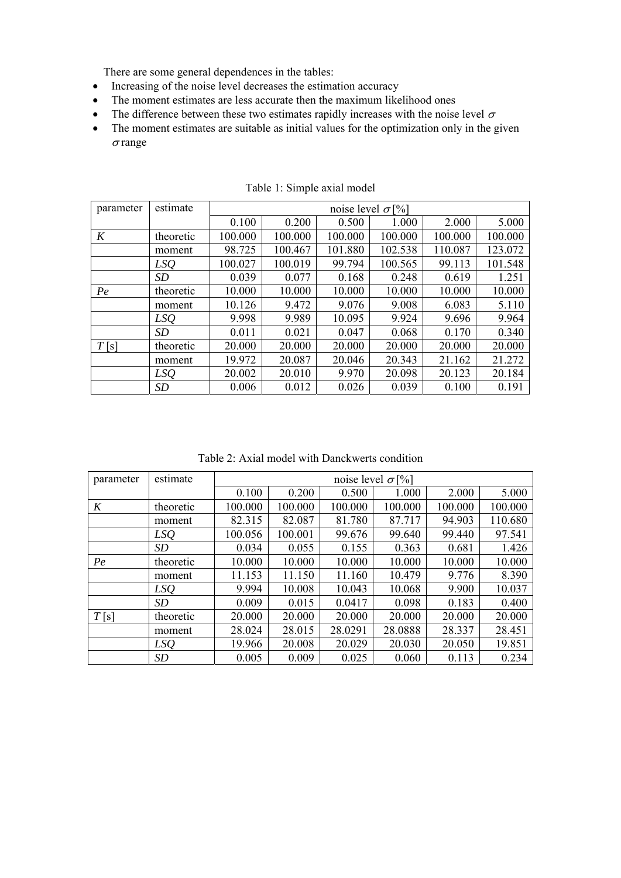There are some general dependences in the tables:

- Increasing of the noise level decreases the estimation accuracy
- The moment estimates are less accurate then the maximum likelihood ones
- The difference between these two estimates rapidly increases with the noise level  $\sigma$
- The moment estimates are suitable as initial values for the optimization only in the given  $\sigma$  range

| parameter | estimate  | noise level $\sigma$ [%] |         |         |         |         |         |  |  |
|-----------|-----------|--------------------------|---------|---------|---------|---------|---------|--|--|
|           |           | 0.100                    | 0.200   | 0.500   | 1.000   | 2.000   | 5.000   |  |  |
| K         | theoretic | 100.000                  | 100.000 | 100.000 | 100.000 | 100.000 | 100.000 |  |  |
|           | moment    | 98.725                   | 100.467 | 101.880 | 102.538 | 110.087 | 123.072 |  |  |
|           | LSQ       | 100.027                  | 100.019 | 99.794  | 100.565 | 99.113  | 101.548 |  |  |
|           | <i>SD</i> | 0.039                    | 0.077   | 0.168   | 0.248   | 0.619   | 1.251   |  |  |
| Pe        | theoretic | 10.000                   | 10.000  | 10.000  | 10.000  | 10.000  | 10.000  |  |  |
|           | moment    | 10.126                   | 9.472   | 9.076   | 9.008   | 6.083   | 5.110   |  |  |
|           | LSQ       | 9.998                    | 9.989   | 10.095  | 9.924   | 9.696   | 9.964   |  |  |
|           | <i>SD</i> | 0.011                    | 0.021   | 0.047   | 0.068   | 0.170   | 0.340   |  |  |
| T[s]      | theoretic | 20.000                   | 20.000  | 20.000  | 20.000  | 20.000  | 20.000  |  |  |
|           | moment    | 19.972                   | 20.087  | 20.046  | 20.343  | 21.162  | 21.272  |  |  |
|           | LSQ       | 20.002                   | 20.010  | 9.970   | 20.098  | 20.123  | 20.184  |  |  |
|           | SD        | 0.006                    | 0.012   | 0.026   | 0.039   | 0.100   | 0.191   |  |  |

Table 1: Simple axial model

Table 2: Axial model with Danckwerts condition

| parameter | estimate  | noise level $\sigma$ [%] |         |         |         |         |         |  |  |
|-----------|-----------|--------------------------|---------|---------|---------|---------|---------|--|--|
|           |           | 0.100                    | 0.200   | 0.500   | 1.000   | 2.000   | 5.000   |  |  |
| K         | theoretic | 100.000                  | 100.000 | 100.000 | 100.000 | 100.000 | 100.000 |  |  |
|           | moment    | 82.315                   | 82.087  | 81.780  | 87.717  | 94.903  | 110.680 |  |  |
|           | LSQ       | 100.056                  | 100.001 | 99.676  | 99.640  | 99.440  | 97.541  |  |  |
|           | SD        | 0.034                    | 0.055   | 0.155   | 0.363   | 0.681   | 1.426   |  |  |
| Pe        | theoretic | 10.000                   | 10.000  | 10.000  | 10.000  | 10.000  | 10.000  |  |  |
|           | moment    | 11.153                   | 11.150  | 11.160  | 10.479  | 9.776   | 8.390   |  |  |
|           | LSQ       | 9.994                    | 10.008  | 10.043  | 10.068  | 9.900   | 10.037  |  |  |
|           | SD        | 0.009                    | 0.015   | 0.0417  | 0.098   | 0.183   | 0.400   |  |  |
| T[s]      | theoretic | 20.000                   | 20.000  | 20.000  | 20.000  | 20.000  | 20.000  |  |  |
|           | moment    | 28.024                   | 28.015  | 28.0291 | 28.0888 | 28.337  | 28.451  |  |  |
|           | LSQ       | 19.966                   | 20.008  | 20.029  | 20.030  | 20.050  | 19.851  |  |  |
|           | SD        | 0.005                    | 0.009   | 0.025   | 0.060   | 0.113   | 0.234   |  |  |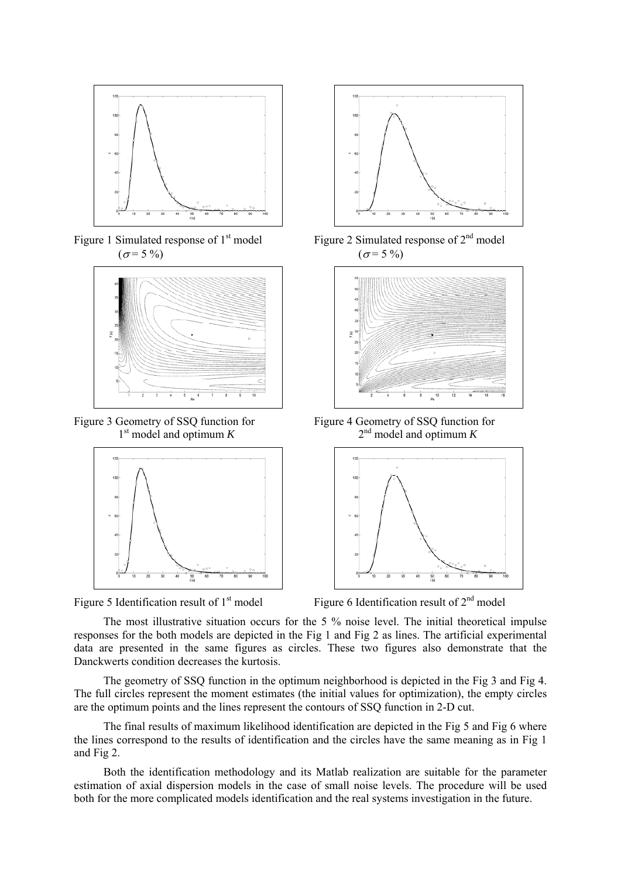

Figure 1 Simulated response of  $1<sup>st</sup>$  model  $(\sigma = 5\%)$ 



Figure 3 Geometry of SSQ function for 1st model and optimum *K*





Figure 2 Simulated response of 2<sup>nd</sup> model  $(\sigma = 5\%)$ 



Figure 4 Geometry of SSQ function for  $2<sup>nd</sup>$  model and optimum *K* 



Figure 5 Identification result of  $1<sup>st</sup>$  model Figure 6 Identification result of  $2<sup>nd</sup>$  model

The most illustrative situation occurs for the 5 % noise level. The initial theoretical impulse responses for the both models are depicted in the Fig 1 and Fig 2 as lines. The artificial experimental data are presented in the same figures as circles. These two figures also demonstrate that the Danckwerts condition decreases the kurtosis.

The geometry of SSQ function in the optimum neighborhood is depicted in the Fig 3 and Fig 4. The full circles represent the moment estimates (the initial values for optimization), the empty circles are the optimum points and the lines represent the contours of SSQ function in 2-D cut.

The final results of maximum likelihood identification are depicted in the Fig 5 and Fig 6 where the lines correspond to the results of identification and the circles have the same meaning as in Fig 1 and Fig 2.

Both the identification methodology and its Matlab realization are suitable for the parameter estimation of axial dispersion models in the case of small noise levels. The procedure will be used both for the more complicated models identification and the real systems investigation in the future.